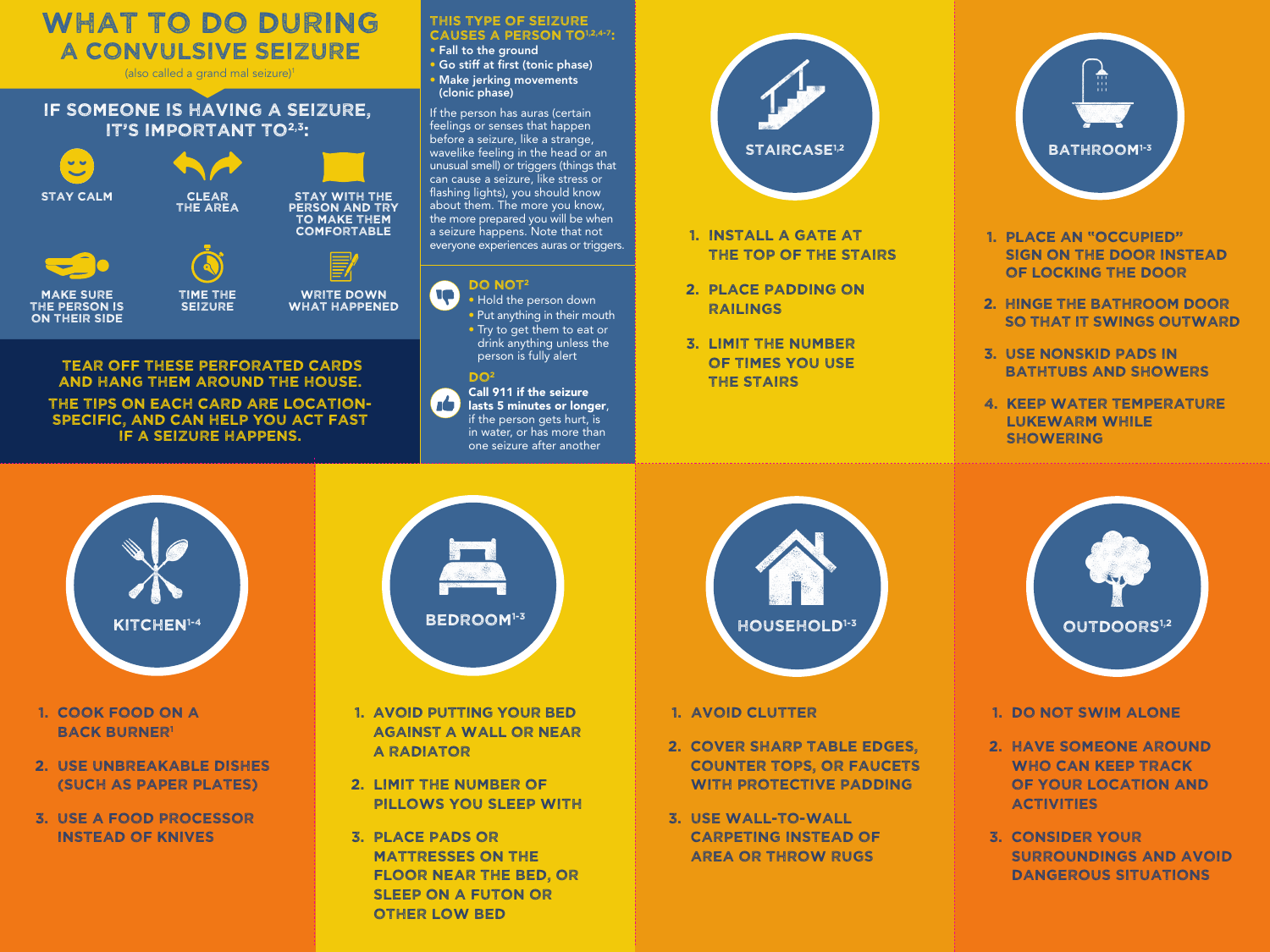## WHAT TO DO DURING A CONVULSIVE SEIZURE

(also called a grand mal seizure)1

## IF SOMEONE IS HAVING A SEIZURE, IT'S IMPORTANT TO<sup>2,3</sup>:



## Tear off these perforated cards and hang them around the house.

The tips on each card are LOCATIONspecific, and can help you act fast if a seizure happens.

## THIS TYPE OF SEIZURE CAUSES A PERSON TO<sup>1,2,4-7</sup>:

- Fall to the ground
- Go stiff at first (tonic phase) • Make jerking movements
- (clonic phase)

If the person has auras (certain feelings or senses that happen before a seizure, like a strange, wavelike feeling in the head or an unusual smell) or triggers (things that can cause a seizure, like stress or flashing lights), you should know about them. The more you know, the more prepared you will be when a seizure happens. Note that not everyone experiences auras or triggers.



 $\sqrt{2}$ lasts 5 minutes or longer. if the person gets hurt, is in water, or has more than one seizure after another



- 1. Install a gate at the top of THE stairs
- 2. Place padding on railings
- 3. Limit the number of times you use the stairs



- 1. Place an "Occupied" sign on the door instead of locking the door
- 2. Hinge the bathroom door so that it swings outward
- 3. Use nonskid pads in bathtubs and showers
- 4. Keep water temperature lukewarm while **SHOWERING**



- 1. Cook food on a **BACK BURNER1**
- 2. USE UNBREAKABLE DISHES (such as paper plates)
- 3. Use a food processor instead of knives



- 1. Avoid putting your bed against a wall or near a radiator
- 2. Limit the number of pillows you sleep with
- 3. Place pads or mattresses on the floor near the bed, or sleep on a futon or other low bed



- 1. Avoid clutter
- 2. Cover sharp table edges, counter tops, or faucets with protective padding
- 3. Use wall-to-wall carpeting instead of area or throw rugs



- 1. Do not swim alone
- 2. Have someone around WHO CAN KEEP TRACK of your location and activities
- 3. Consider your Surroundings and avoid dangerous situations